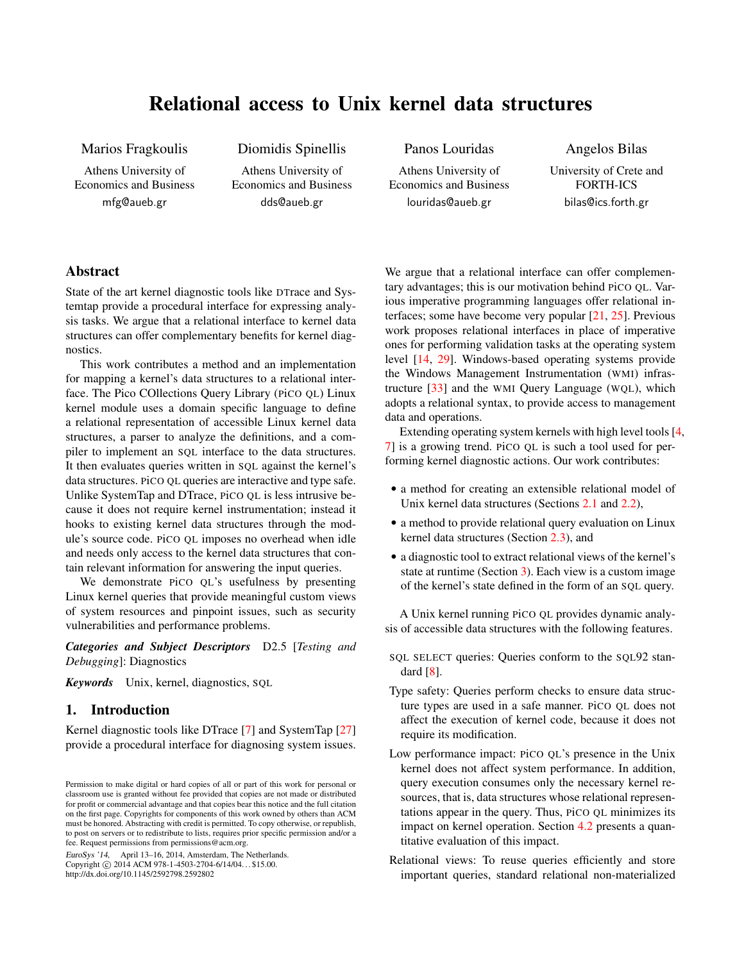# Relational access to Unix kernel data structures

Marios Fragkoulis

Athens University of Economics and Business mfg@aueb.gr

Diomidis Spinellis Athens University of

Economics and Business dds@aueb.gr

Panos Louridas

Athens University of Economics and Business louridas@aueb.gr

Angelos Bilas University of Crete and FORTH-ICS bilas@ics.forth.gr

## Abstract

State of the art kernel diagnostic tools like DTrace and Systemtap provide a procedural interface for expressing analysis tasks. We argue that a relational interface to kernel data structures can offer complementary benefits for kernel diagnostics.

This work contributes a method and an implementation for mapping a kernel's data structures to a relational interface. The Pico COllections Query Library (PiCO QL) Linux kernel module uses a domain specific language to define a relational representation of accessible Linux kernel data structures, a parser to analyze the definitions, and a compiler to implement an SQL interface to the data structures. It then evaluates queries written in SQL against the kernel's data structures. PiCO QL queries are interactive and type safe. Unlike SystemTap and DTrace, PiCO QL is less intrusive because it does not require kernel instrumentation; instead it hooks to existing kernel data structures through the module's source code. PiCO QL imposes no overhead when idle and needs only access to the kernel data structures that contain relevant information for answering the input queries.

We demonstrate PiCO QL's usefulness by presenting Linux kernel queries that provide meaningful custom views of system resources and pinpoint issues, such as security vulnerabilities and performance problems.

*Categories and Subject Descriptors* D2.5 [*Testing and Debugging*]: Diagnostics

*Keywords* Unix, kernel, diagnostics, SQL

## 1. Introduction

Kernel diagnostic tools like DTrace [\[7\]](#page-12-0) and SystemTap [\[27\]](#page-13-0) provide a procedural interface for diagnosing system issues.

EuroSys '14, April 13–16, 2014, Amsterdam, The Netherlands. Copyright © 2014 ACM 978-1-4503-2704-6/14/04... \$15.00. http://dx.doi.org/10.1145/2592798.2592802

We argue that a relational interface can offer complementary advantages; this is our motivation behind PiCO QL. Various imperative programming languages offer relational interfaces; some have become very popular [\[21,](#page-13-1) [25\]](#page-13-2). Previous work proposes relational interfaces in place of imperative ones for performing validation tasks at the operating system level [\[14,](#page-13-3) [29\]](#page-13-4). Windows-based operating systems provide the Windows Management Instrumentation (WMI) infrastructure [\[33\]](#page-13-5) and the WMI Query Language (WQL), which adopts a relational syntax, to provide access to management data and operations.

Extending operating system kernels with high level tools [\[4,](#page-12-1) [7\]](#page-12-0) is a growing trend. PiCO QL is such a tool used for performing kernel diagnostic actions. Our work contributes:

- a method for creating an extensible relational model of Unix kernel data structures (Sections [2.1](#page-1-0) and [2.2\)](#page-1-1),
- a method to provide relational query evaluation on Linux kernel data structures (Section [2.3\)](#page-4-0), and
- a diagnostic tool to extract relational views of the kernel's state at runtime (Section [3\)](#page-4-1). Each view is a custom image of the kernel's state defined in the form of an SQL query.

A Unix kernel running PiCO QL provides dynamic analysis of accessible data structures with the following features.

- SQL SELECT queries: Queries conform to the SQL92 standard [\[8\]](#page-12-2).
- Type safety: Queries perform checks to ensure data structure types are used in a safe manner. PiCO QL does not affect the execution of kernel code, because it does not require its modification.
- Low performance impact: PiCO QL's presence in the Unix kernel does not affect system performance. In addition, query execution consumes only the necessary kernel resources, that is, data structures whose relational representations appear in the query. Thus, PiCO QL minimizes its impact on kernel operation. Section [4.2](#page-9-0) presents a quantitative evaluation of this impact.
- Relational views: To reuse queries efficiently and store important queries, standard relational non-materialized

Permission to make digital or hard copies of all or part of this work for personal or classroom use is granted without fee provided that copies are not made or distributed for profit or commercial advantage and that copies bear this notice and the full citation on the first page. Copyrights for components of this work owned by others than ACM must be honored. Abstracting with credit is permitted. To copy otherwise, or republish, to post on servers or to redistribute to lists, requires prior specific permission and/or a fee. Request permissions from permissions@acm.org.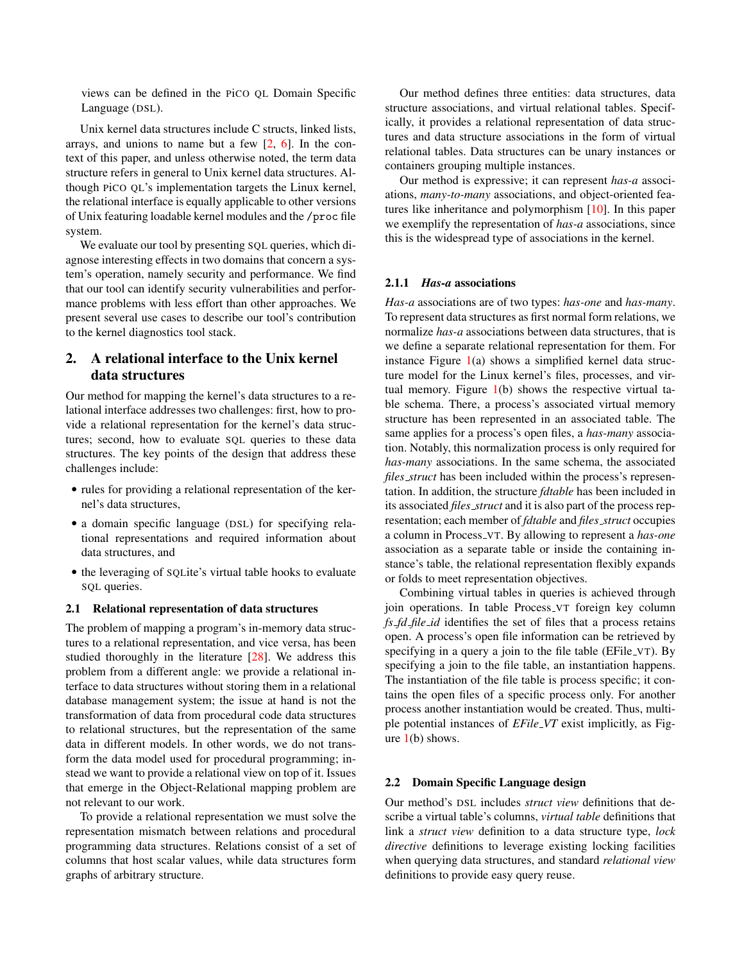views can be defined in the PiCO QL Domain Specific Language (DSL).

Unix kernel data structures include C structs, linked lists, arrays, and unions to name but a few  $[2, 6]$  $[2, 6]$  $[2, 6]$ . In the context of this paper, and unless otherwise noted, the term data structure refers in general to Unix kernel data structures. Although PiCO QL's implementation targets the Linux kernel, the relational interface is equally applicable to other versions of Unix featuring loadable kernel modules and the /proc file system.

We evaluate our tool by presenting SQL queries, which diagnose interesting effects in two domains that concern a system's operation, namely security and performance. We find that our tool can identify security vulnerabilities and performance problems with less effort than other approaches. We present several use cases to describe our tool's contribution to the kernel diagnostics tool stack.

## 2. A relational interface to the Unix kernel data structures

Our method for mapping the kernel's data structures to a relational interface addresses two challenges: first, how to provide a relational representation for the kernel's data structures; second, how to evaluate SQL queries to these data structures. The key points of the design that address these challenges include:

- rules for providing a relational representation of the kernel's data structures,
- a domain specific language (DSL) for specifying relational representations and required information about data structures, and
- the leveraging of SQLite's virtual table hooks to evaluate SQL queries.

#### <span id="page-1-0"></span>2.1 Relational representation of data structures

The problem of mapping a program's in-memory data structures to a relational representation, and vice versa, has been studied thoroughly in the literature [\[28\]](#page-13-6). We address this problem from a different angle: we provide a relational interface to data structures without storing them in a relational database management system; the issue at hand is not the transformation of data from procedural code data structures to relational structures, but the representation of the same data in different models. In other words, we do not transform the data model used for procedural programming; instead we want to provide a relational view on top of it. Issues that emerge in the Object-Relational mapping problem are not relevant to our work.

To provide a relational representation we must solve the representation mismatch between relations and procedural programming data structures. Relations consist of a set of columns that host scalar values, while data structures form graphs of arbitrary structure.

Our method defines three entities: data structures, data structure associations, and virtual relational tables. Specifically, it provides a relational representation of data structures and data structure associations in the form of virtual relational tables. Data structures can be unary instances or containers grouping multiple instances.

Our method is expressive; it can represent *has-a* associations, *many-to-many* associations, and object-oriented features like inheritance and polymorphism [\[10\]](#page-12-5). In this paper we exemplify the representation of *has-a* associations, since this is the widespread type of associations in the kernel.

#### <span id="page-1-2"></span>2.1.1 *Has-a* associations

*Has-a* associations are of two types: *has-one* and *has-many*. To represent data structures as first normal form relations, we normalize *has-a* associations between data structures, that is we define a separate relational representation for them. For instance Figure  $1(a)$  $1(a)$  shows a simplified kernel data structure model for the Linux kernel's files, processes, and virtual memory. Figure [1\(](#page-2-0)b) shows the respective virtual table schema. There, a process's associated virtual memory structure has been represented in an associated table. The same applies for a process's open files, a *has-many* association. Notably, this normalization process is only required for *has-many* associations. In the same schema, the associated *files struct* has been included within the process's representation. In addition, the structure *fdtable* has been included in its associated *files struct* and it is also part of the process representation; each member of *fdtable* and *files struct* occupies a column in Process VT. By allowing to represent a *has-one* association as a separate table or inside the containing instance's table, the relational representation flexibly expands or folds to meet representation objectives.

Combining virtual tables in queries is achieved through join operations. In table Process\_VT foreign key column *fs fd file id* identifies the set of files that a process retains open. A process's open file information can be retrieved by specifying in a query a join to the file table (EFile\_VT). By specifying a join to the file table, an instantiation happens. The instantiation of the file table is process specific; it contains the open files of a specific process only. For another process another instantiation would be created. Thus, multiple potential instances of *EFile VT* exist implicitly, as Figure  $1(b)$  $1(b)$  shows.

#### <span id="page-1-1"></span>2.2 Domain Specific Language design

Our method's DSL includes *struct view* definitions that describe a virtual table's columns, *virtual table* definitions that link a *struct view* definition to a data structure type, *lock directive* definitions to leverage existing locking facilities when querying data structures, and standard *relational view* definitions to provide easy query reuse.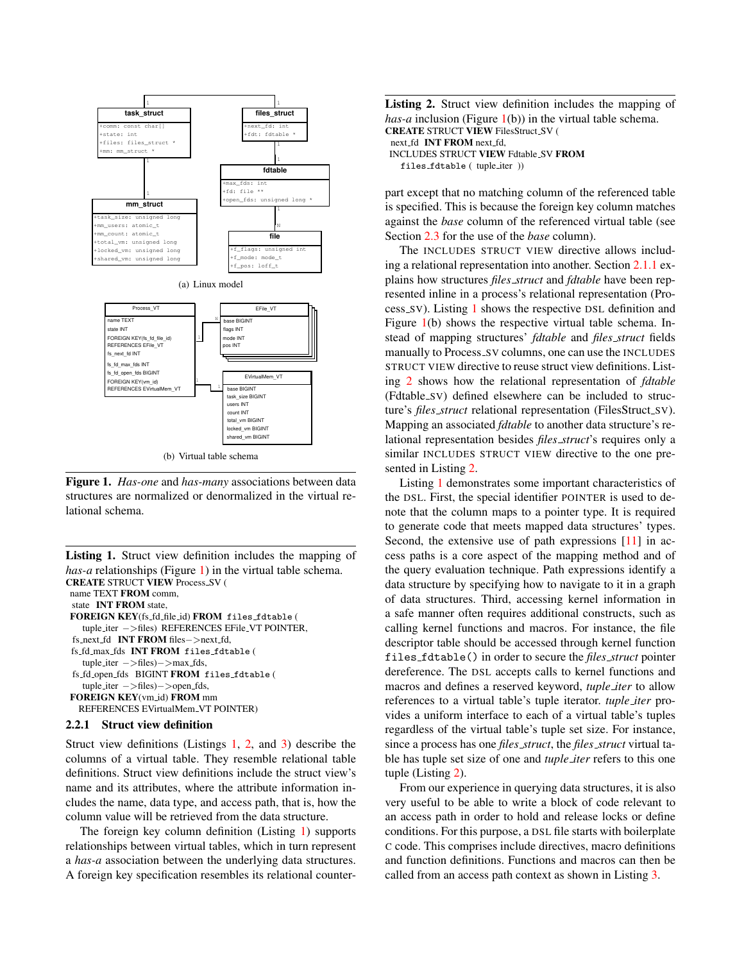

<span id="page-2-0"></span>Figure 1. *Has-one* and *has-many* associations between data structures are normalized or denormalized in the virtual relational schema.

<span id="page-2-1"></span>Listing 1. Struct view definition includes the mapping of *has-a* relationships (Figure [1\)](#page-2-0) in the virtual table schema. CREATE STRUCT VIEW Process SV ( name TEXT FROM comm, state INT FROM state, FOREIGN KEY(fs fd file id) FROM files fdtable ( tuple iter −>files) REFERENCES EFile VT POINTER, fs next fd INT FROM files−>next fd, fs fd max fds INT FROM files fdtable ( tuple iter −>files)−>max fds, fs fd open fds BIGINT FROM files fdtable ( tuple iter −>files)−>open fds, FOREIGN KEY(vm\_id) FROM mm REFERENCES EVirtualMem\_VT POINTER)

## 2.2.1 Struct view definition

Struct view definitions (Listings [1,](#page-2-1) [2,](#page-2-2) and [3\)](#page-3-0) describe the columns of a virtual table. They resemble relational table definitions. Struct view definitions include the struct view's name and its attributes, where the attribute information includes the name, data type, and access path, that is, how the column value will be retrieved from the data structure.

The foreign key column definition (Listing [1\)](#page-2-1) supports relationships between virtual tables, which in turn represent a *has-a* association between the underlying data structures. A foreign key specification resembles its relational counter-

<span id="page-2-2"></span>

| <b>Listing 2.</b> Struct view definition includes the mapping of     |  |
|----------------------------------------------------------------------|--|
| <i>has-a</i> inclusion (Figure $1(b)$ ) in the virtual table schema. |  |
| <b>CREATE STRUCT VIEW FilesStruct_SV (</b>                           |  |
| next_fd <b>INT FROM</b> next_fd.                                     |  |
| INCLUDES STRUCT VIEW Fdtable_SV FROM                                 |  |
| files_fdtable ( tuple_iter ))                                        |  |

part except that no matching column of the referenced table is specified. This is because the foreign key column matches against the *base* column of the referenced virtual table (see Section [2.3](#page-4-0) for the use of the *base* column).

The INCLUDES STRUCT VIEW directive allows including a relational representation into another. Section [2.1.1](#page-1-2) explains how structures *files struct* and *fdtable* have been represented inline in a process's relational representation (Process SV). Listing [1](#page-2-1) shows the respective DSL definition and Figure [1\(](#page-2-0)b) shows the respective virtual table schema. Instead of mapping structures' *fdtable* and *files struct* fields manually to Process\_SV columns, one can use the INCLUDES STRUCT VIEW directive to reuse struct view definitions. Listing [2](#page-2-2) shows how the relational representation of *fdtable* (Fdtable SV) defined elsewhere can be included to structure's *files\_struct* relational representation (FilesStruct\_SV). Mapping an associated *fdtable* to another data structure's relational representation besides *files struct*'s requires only a similar INCLUDES STRUCT VIEW directive to the one presented in Listing [2.](#page-2-2)

Listing [1](#page-2-1) demonstrates some important characteristics of the DSL. First, the special identifier POINTER is used to denote that the column maps to a pointer type. It is required to generate code that meets mapped data structures' types. Second, the extensive use of path expressions [\[11\]](#page-12-6) in access paths is a core aspect of the mapping method and of the query evaluation technique. Path expressions identify a data structure by specifying how to navigate to it in a graph of data structures. Third, accessing kernel information in a safe manner often requires additional constructs, such as calling kernel functions and macros. For instance, the file descriptor table should be accessed through kernel function files fdtable() in order to secure the *files struct* pointer dereference. The DSL accepts calls to kernel functions and macros and defines a reserved keyword, *tuple iter* to allow references to a virtual table's tuple iterator. *tuple iter* provides a uniform interface to each of a virtual table's tuples regardless of the virtual table's tuple set size. For instance, since a process has one *files struct*, the *files struct* virtual table has tuple set size of one and *tuple iter* refers to this one tuple (Listing [2\)](#page-2-2).

From our experience in querying data structures, it is also very useful to be able to write a block of code relevant to an access path in order to hold and release locks or define conditions. For this purpose, a DSL file starts with boilerplate C code. This comprises include directives, macro definitions and function definitions. Functions and macros can then be called from an access path context as shown in Listing [3.](#page-3-0)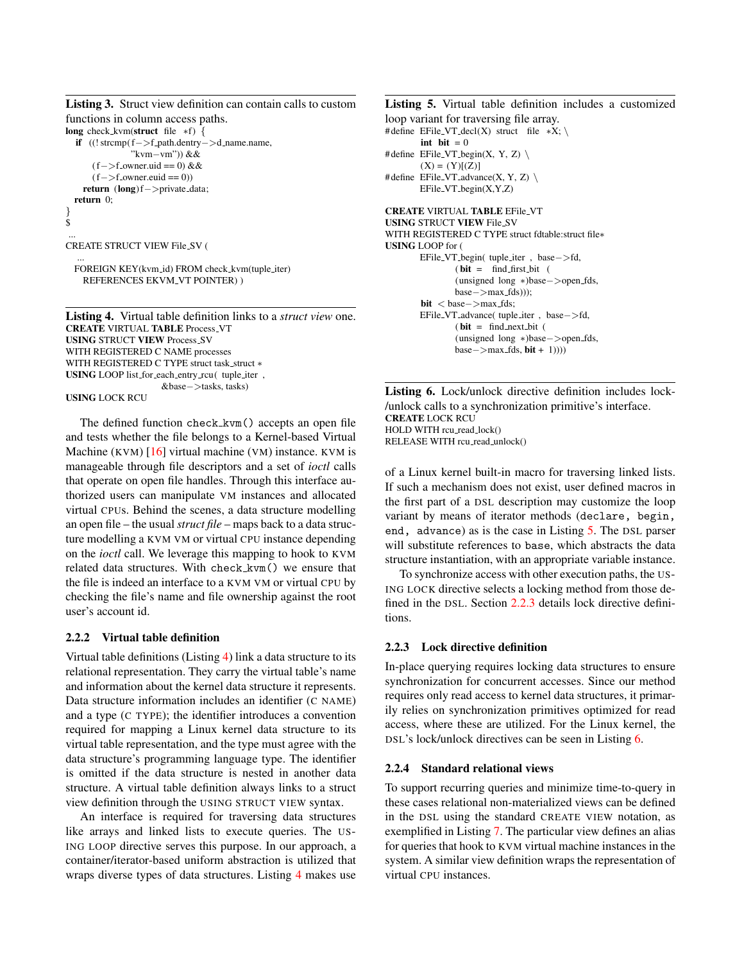<span id="page-3-0"></span>Listing 3. Struct view definition can contain calls to custom functions in column access paths. long check kvm(struct file ∗f) {

```
if ((! strcmp( f−>f path.dentry−>d name.name,
                "kvm−vm")) &&
      (f->f_0 owner.uid == 0) &&
      (f->f_{\text{-}}owner.euid == 0))return (long) f−>private data;
  return 0;
}
$
 ...
```
CREATE STRUCT VIEW File SV ( ...

FOREIGN KEY(kvm id) FROM check kvm(tuple iter) REFERENCES EKVM\_VT POINTER) )

<span id="page-3-1"></span>Listing 4. Virtual table definition links to a *struct view* one. CREATE VIRTUAL TABLE Process VT USING STRUCT VIEW Process SV WITH REGISTERED C NAME processes WITH REGISTERED C TYPE struct task\_struct ∗ USING LOOP list for each entry rcu( tuple iter , &base−>tasks, tasks)

USING LOCK RCU

The defined function check kvm() accepts an open file and tests whether the file belongs to a Kernel-based Virtual Machine (KVM)  $[16]$  virtual machine (VM) instance. KVM is manageable through file descriptors and a set of *ioctl* calls that operate on open file handles. Through this interface authorized users can manipulate VM instances and allocated virtual CPUs. Behind the scenes, a data structure modelling an open file – the usual *struct file* – maps back to a data structure modelling a KVM VM or virtual CPU instance depending on the *ioctl* call. We leverage this mapping to hook to KVM related data structures. With check kvm() we ensure that the file is indeed an interface to a KVM VM or virtual CPU by checking the file's name and file ownership against the root user's account id.

## 2.2.2 Virtual table definition

Virtual table definitions (Listing [4\)](#page-3-1) link a data structure to its relational representation. They carry the virtual table's name and information about the kernel data structure it represents. Data structure information includes an identifier (C NAME) and a type (C TYPE); the identifier introduces a convention required for mapping a Linux kernel data structure to its virtual table representation, and the type must agree with the data structure's programming language type. The identifier is omitted if the data structure is nested in another data structure. A virtual table definition always links to a struct view definition through the USING STRUCT VIEW syntax.

An interface is required for traversing data structures like arrays and linked lists to execute queries. The US-ING LOOP directive serves this purpose. In our approach, a container/iterator-based uniform abstraction is utilized that wraps diverse types of data structures. Listing [4](#page-3-1) makes use <span id="page-3-2"></span>Listing 5. Virtual table definition includes a customized loop variant for traversing file array. # define EFile\_VT\_decl(X) struct file  $*X$ ; \ int bit  $= 0$ # define EFile\_VT\_begin(X, Y, Z)  $\setminus$  $(X) = (Y)[(Z)]$ # define EFile\_VT\_advance(X, Y, Z)  $\setminus$  $EFile_VT_b$  begin $(X, Y, Z)$ CREATE VIRTUAL TABLE EFile VT USING STRUCT VIEW File SV

```
WITH REGISTERED C TYPE struct fdtable:struct file∗
USING LOOP for (
        EFile VT begin( tuple iter , base−>fd,
                (bit = find\_first\_bit)(unsigned long ∗)base−>open fds,
                base−>max fds)));
        bit < base−>max fds;
        EFile VT advance( tuple iter , base−>fd,
                (bit = find_{next}\text{-bit})(unsigned long ∗)base−>open fds,
                base->max_f ds, bit + 1))))
```
<span id="page-3-4"></span>Listing 6. Lock/unlock directive definition includes lock- /unlock calls to a synchronization primitive's interface. CREATE LOCK RCU HOLD WITH rcu\_read\_lock() RELEASE WITH rcu\_read\_unlock()

of a Linux kernel built-in macro for traversing linked lists. If such a mechanism does not exist, user defined macros in the first part of a DSL description may customize the loop variant by means of iterator methods (declare, begin, end, advance) as is the case in Listing [5.](#page-3-2) The DSL parser will substitute references to base, which abstracts the data structure instantiation, with an appropriate variable instance.

To synchronize access with other execution paths, the US-ING LOCK directive selects a locking method from those defined in the DSL. Section [2.2.3](#page-3-3) details lock directive definitions.

## <span id="page-3-3"></span>2.2.3 Lock directive definition

In-place querying requires locking data structures to ensure synchronization for concurrent accesses. Since our method requires only read access to kernel data structures, it primarily relies on synchronization primitives optimized for read access, where these are utilized. For the Linux kernel, the DSL's lock/unlock directives can be seen in Listing [6.](#page-3-4)

## 2.2.4 Standard relational views

To support recurring queries and minimize time-to-query in these cases relational non-materialized views can be defined in the DSL using the standard CREATE VIEW notation, as exemplified in Listing [7.](#page-4-2) The particular view defines an alias for queries that hook to KVM virtual machine instances in the system. A similar view definition wraps the representation of virtual CPU instances.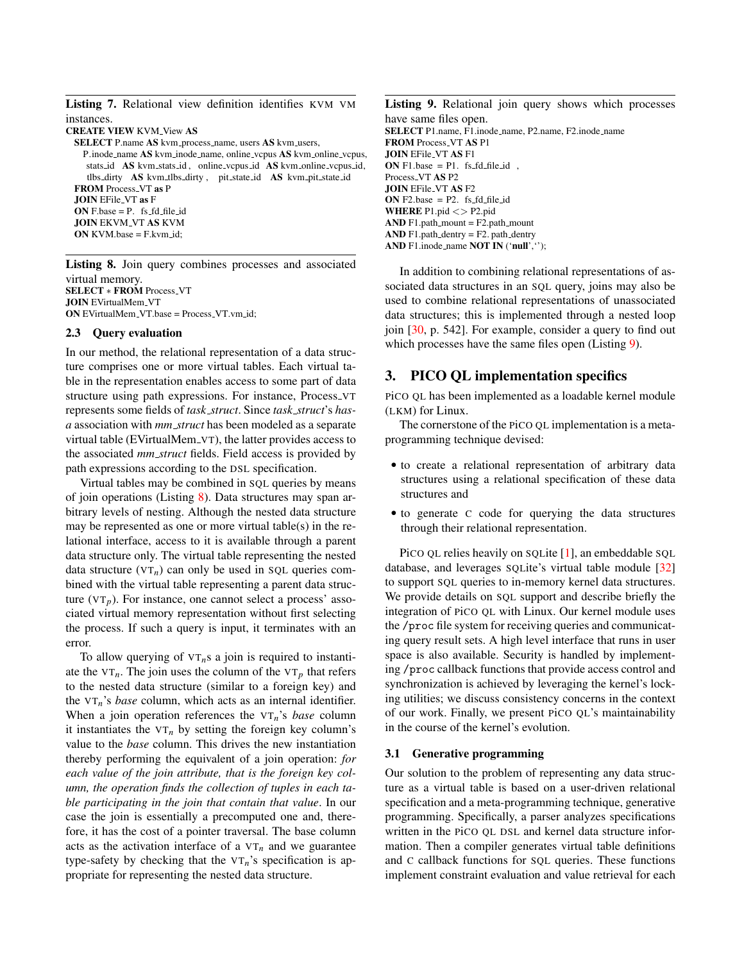<span id="page-4-2"></span>Listing 7. Relational view definition identifies KVM VM instances.

**CREATE VIEW KVM\_View AS** 

SELECT P.name AS kvm\_process\_name, users AS kvm\_users,

P.inode\_name AS kvm\_inode\_name, online\_vcpus AS kvm\_online\_vcpus, stats\_id AS kvm\_stats\_id, online\_vcpus\_id AS kvm\_online\_vcpus\_id, tlbs dirty AS kvm tlbs dirty , pit state id AS kvm pit state id FROM Process VT as P JOIN EFile\_VT as F ON F.base =  $P$ . fs\_fd\_file\_id JOIN EKVM\_VT AS KVM ON  $KVM.\text{base} = F.kvm_id;$ 

<span id="page-4-3"></span>Listing 8. Join query combines processes and associated virtual memory. SELECT ∗ FROM Process VT JOIN EVirtualMem\_VT ON EVirtualMem VT.base = Process VT.vm id;

#### <span id="page-4-0"></span>2.3 Query evaluation

In our method, the relational representation of a data structure comprises one or more virtual tables. Each virtual table in the representation enables access to some part of data structure using path expressions. For instance, Process VT represents some fields of *task struct*. Since *task struct*'s *hasa* association with *mm struct* has been modeled as a separate virtual table (EVirtualMem\_VT), the latter provides access to the associated *mm struct* fields. Field access is provided by path expressions according to the DSL specification.

Virtual tables may be combined in SQL queries by means of join operations (Listing [8\)](#page-4-3). Data structures may span arbitrary levels of nesting. Although the nested data structure may be represented as one or more virtual table(s) in the relational interface, access to it is available through a parent data structure only. The virtual table representing the nested data structure  $(VT_n)$  can only be used in SQL queries combined with the virtual table representing a parent data structure  $(VT<sub>p</sub>)$ . For instance, one cannot select a process' associated virtual memory representation without first selecting the process. If such a query is input, it terminates with an error.

To allow querying of  $VT_n$ s a join is required to instantiate the  $VT_n$ . The join uses the column of the  $VT_p$  that refers to the nested data structure (similar to a foreign key) and the VT*n*'s *base* column, which acts as an internal identifier. When a join operation references the  $VT_n$ 's *base* column it instantiates the  $VT_n$  by setting the foreign key column's value to the *base* column. This drives the new instantiation thereby performing the equivalent of a join operation: *for each value of the join attribute, that is the foreign key column, the operation finds the collection of tuples in each table participating in the join that contain that value*. In our case the join is essentially a precomputed one and, therefore, it has the cost of a pointer traversal. The base column acts as the activation interface of a  $VT_n$  and we guarantee type-safety by checking that the  $VT_n$ 's specification is appropriate for representing the nested data structure.

<span id="page-4-4"></span>Listing 9. Relational join query shows which processes have same files open. SELECT P1.name, F1.inode name, P2.name, F2.inode name FROM Process\_VT AS P1 JOIN EFile\_VT AS F1 ON F1.base = P1. fs\_fd\_file\_id, Process VT AS P2 JOIN EFile\_VT AS F2 ON F2.base =  $P2.$  fs\_fd\_file\_id WHERE P1.pid <> P2.pid  $AND F1.path_mount = F2.path_mount$ AND  $F1$ .path\_dentry =  $F2$ .path\_dentry AND F1.inode\_name NOT IN ('null',");

In addition to combining relational representations of associated data structures in an SQL query, joins may also be used to combine relational representations of unassociated data structures; this is implemented through a nested loop join [\[30,](#page-13-8) p. 542]. For example, consider a query to find out which processes have the same files open (Listing [9\)](#page-4-4).

## <span id="page-4-1"></span>3. PICO QL implementation specifics

PiCO QL has been implemented as a loadable kernel module (LKM) for Linux.

The cornerstone of the PiCO QL implementation is a metaprogramming technique devised:

- to create a relational representation of arbitrary data structures using a relational specification of these data structures and
- to generate C code for querying the data structures through their relational representation.

PiCO QL relies heavily on SQLite [\[1\]](#page-12-7), an embeddable SQL database, and leverages SQLite's virtual table module [\[32\]](#page-13-9) to support SQL queries to in-memory kernel data structures. We provide details on SQL support and describe briefly the integration of PiCO QL with Linux. Our kernel module uses the /proc file system for receiving queries and communicating query result sets. A high level interface that runs in user space is also available. Security is handled by implementing /proc callback functions that provide access control and synchronization is achieved by leveraging the kernel's locking utilities; we discuss consistency concerns in the context of our work. Finally, we present PiCO QL's maintainability in the course of the kernel's evolution.

#### 3.1 Generative programming

Our solution to the problem of representing any data structure as a virtual table is based on a user-driven relational specification and a meta-programming technique, generative programming. Specifically, a parser analyzes specifications written in the PiCO QL DSL and kernel data structure information. Then a compiler generates virtual table definitions and C callback functions for SQL queries. These functions implement constraint evaluation and value retrieval for each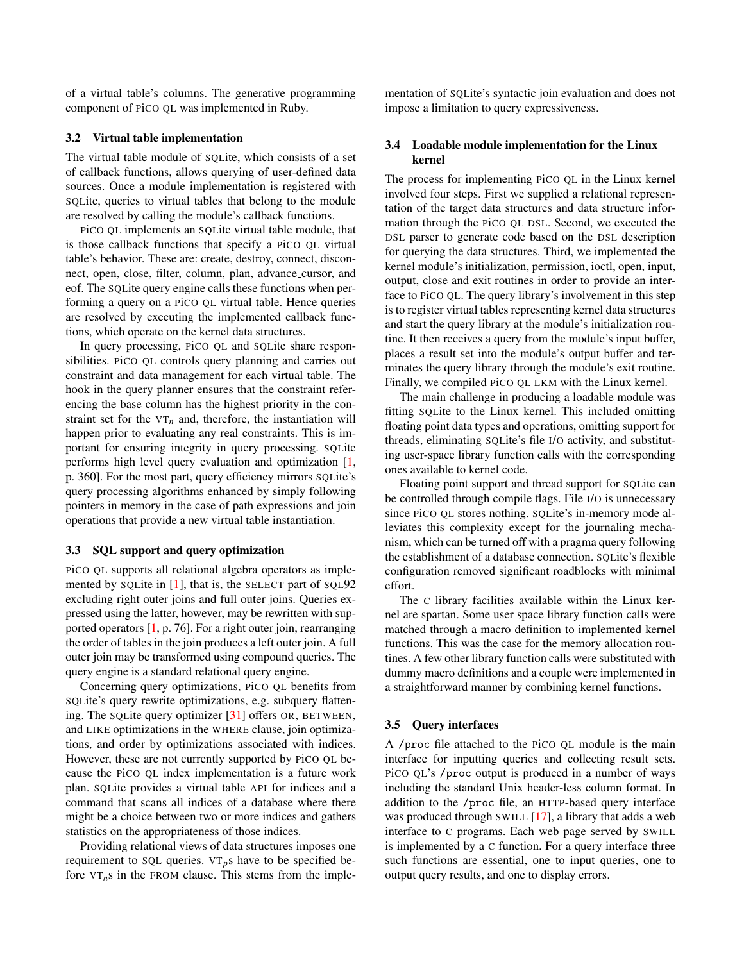of a virtual table's columns. The generative programming component of PiCO QL was implemented in Ruby.

#### 3.2 Virtual table implementation

The virtual table module of SQLite, which consists of a set of callback functions, allows querying of user-defined data sources. Once a module implementation is registered with SQLite, queries to virtual tables that belong to the module are resolved by calling the module's callback functions.

PiCO QL implements an SQLite virtual table module, that is those callback functions that specify a PiCO QL virtual table's behavior. These are: create, destroy, connect, disconnect, open, close, filter, column, plan, advance\_cursor, and eof. The SQLite query engine calls these functions when performing a query on a PiCO QL virtual table. Hence queries are resolved by executing the implemented callback functions, which operate on the kernel data structures.

In query processing, PiCO QL and SQLite share responsibilities. PiCO QL controls query planning and carries out constraint and data management for each virtual table. The hook in the query planner ensures that the constraint referencing the base column has the highest priority in the constraint set for the  $VT_n$  and, therefore, the instantiation will happen prior to evaluating any real constraints. This is important for ensuring integrity in query processing. SQLite performs high level query evaluation and optimization [\[1,](#page-12-7) p. 360]. For the most part, query efficiency mirrors SQLite's query processing algorithms enhanced by simply following pointers in memory in the case of path expressions and join operations that provide a new virtual table instantiation.

#### 3.3 SQL support and query optimization

PiCO QL supports all relational algebra operators as implemented by SQLite in [\[1\]](#page-12-7), that is, the SELECT part of SQL92 excluding right outer joins and full outer joins. Queries expressed using the latter, however, may be rewritten with supported operators [\[1,](#page-12-7) p. 76]. For a right outer join, rearranging the order of tables in the join produces a left outer join. A full outer join may be transformed using compound queries. The query engine is a standard relational query engine.

Concerning query optimizations, PiCO QL benefits from SQLite's query rewrite optimizations, e.g. subquery flattening. The SQLite query optimizer [\[31\]](#page-13-10) offers OR, BETWEEN, and LIKE optimizations in the WHERE clause, join optimizations, and order by optimizations associated with indices. However, these are not currently supported by PiCO QL because the PiCO QL index implementation is a future work plan. SQLite provides a virtual table API for indices and a command that scans all indices of a database where there might be a choice between two or more indices and gathers statistics on the appropriateness of those indices.

Providing relational views of data structures imposes one requirement to SQL queries.  $VT_p$ s have to be specified before  $VT_n$ s in the FROM clause. This stems from the implementation of SQLite's syntactic join evaluation and does not impose a limitation to query expressiveness.

## 3.4 Loadable module implementation for the Linux kernel

The process for implementing PiCO QL in the Linux kernel involved four steps. First we supplied a relational representation of the target data structures and data structure information through the PiCO QL DSL. Second, we executed the DSL parser to generate code based on the DSL description for querying the data structures. Third, we implemented the kernel module's initialization, permission, ioctl, open, input, output, close and exit routines in order to provide an interface to PiCO QL. The query library's involvement in this step is to register virtual tables representing kernel data structures and start the query library at the module's initialization routine. It then receives a query from the module's input buffer, places a result set into the module's output buffer and terminates the query library through the module's exit routine. Finally, we compiled PiCO QL LKM with the Linux kernel.

The main challenge in producing a loadable module was fitting SQLite to the Linux kernel. This included omitting floating point data types and operations, omitting support for threads, eliminating SQLite's file I/O activity, and substituting user-space library function calls with the corresponding ones available to kernel code.

Floating point support and thread support for SQLite can be controlled through compile flags. File I/O is unnecessary since PiCO QL stores nothing. SQLite's in-memory mode alleviates this complexity except for the journaling mechanism, which can be turned off with a pragma query following the establishment of a database connection. SQLite's flexible configuration removed significant roadblocks with minimal effort.

The C library facilities available within the Linux kernel are spartan. Some user space library function calls were matched through a macro definition to implemented kernel functions. This was the case for the memory allocation routines. A few other library function calls were substituted with dummy macro definitions and a couple were implemented in a straightforward manner by combining kernel functions.

#### 3.5 Query interfaces

A /proc file attached to the PiCO QL module is the main interface for inputting queries and collecting result sets. PiCO QL's /proc output is produced in a number of ways including the standard Unix header-less column format. In addition to the /proc file, an HTTP-based query interface was produced through SWILL [\[17\]](#page-13-11), a library that adds a web interface to C programs. Each web page served by SWILL is implemented by a C function. For a query interface three such functions are essential, one to input queries, one to output query results, and one to display errors.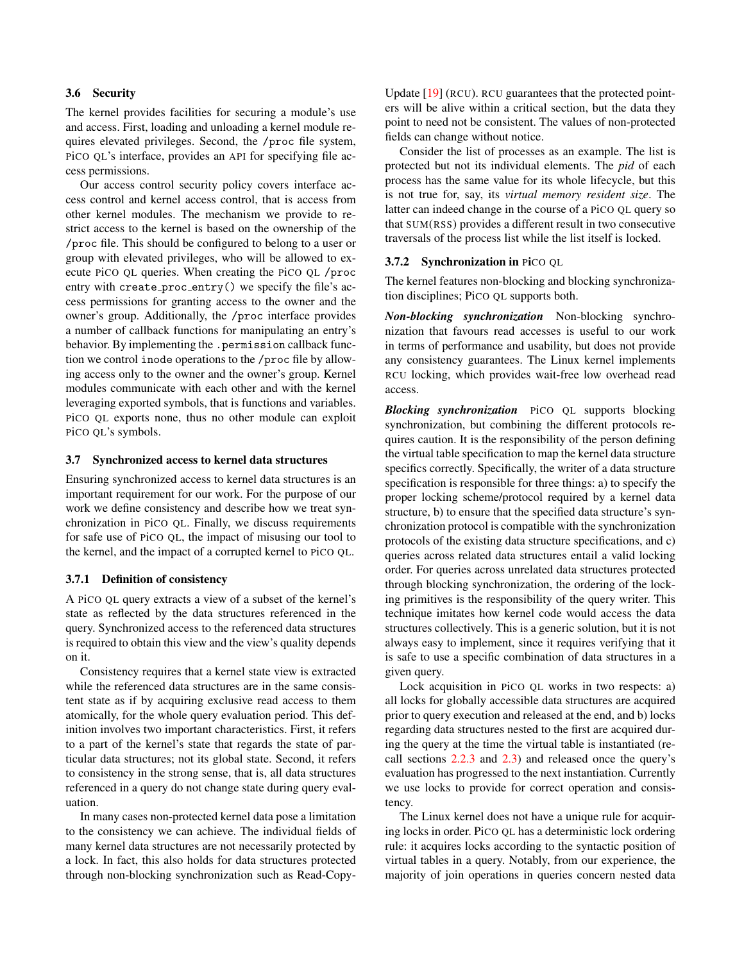## 3.6 Security

The kernel provides facilities for securing a module's use and access. First, loading and unloading a kernel module requires elevated privileges. Second, the /proc file system, PiCO QL's interface, provides an API for specifying file access permissions.

Our access control security policy covers interface access control and kernel access control, that is access from other kernel modules. The mechanism we provide to restrict access to the kernel is based on the ownership of the /proc file. This should be configured to belong to a user or group with elevated privileges, who will be allowed to execute PiCO QL queries. When creating the PiCO QL /proc entry with create proc entry() we specify the file's access permissions for granting access to the owner and the owner's group. Additionally, the /proc interface provides a number of callback functions for manipulating an entry's behavior. By implementing the .permission callback function we control inode operations to the /proc file by allowing access only to the owner and the owner's group. Kernel modules communicate with each other and with the kernel leveraging exported symbols, that is functions and variables. PiCO QL exports none, thus no other module can exploit PiCO QL's symbols.

#### 3.7 Synchronized access to kernel data structures

Ensuring synchronized access to kernel data structures is an important requirement for our work. For the purpose of our work we define consistency and describe how we treat synchronization in PiCO QL. Finally, we discuss requirements for safe use of PiCO QL, the impact of misusing our tool to the kernel, and the impact of a corrupted kernel to PiCO QL.

#### 3.7.1 Definition of consistency

A PiCO QL query extracts a view of a subset of the kernel's state as reflected by the data structures referenced in the query. Synchronized access to the referenced data structures is required to obtain this view and the view's quality depends on it.

Consistency requires that a kernel state view is extracted while the referenced data structures are in the same consistent state as if by acquiring exclusive read access to them atomically, for the whole query evaluation period. This definition involves two important characteristics. First, it refers to a part of the kernel's state that regards the state of particular data structures; not its global state. Second, it refers to consistency in the strong sense, that is, all data structures referenced in a query do not change state during query evaluation.

In many cases non-protected kernel data pose a limitation to the consistency we can achieve. The individual fields of many kernel data structures are not necessarily protected by a lock. In fact, this also holds for data structures protected through non-blocking synchronization such as Read-Copy-

Update [\[19\]](#page-13-12) (RCU). RCU guarantees that the protected pointers will be alive within a critical section, but the data they point to need not be consistent. The values of non-protected fields can change without notice.

Consider the list of processes as an example. The list is protected but not its individual elements. The *pid* of each process has the same value for its whole lifecycle, but this is not true for, say, its *virtual memory resident size*. The latter can indeed change in the course of a PiCO QL query so that SUM(RSS) provides a different result in two consecutive traversals of the process list while the list itself is locked.

#### 3.7.2 Synchronization in PiCO QL

The kernel features non-blocking and blocking synchronization disciplines; PiCO QL supports both.

*Non-blocking synchronization* Non-blocking synchronization that favours read accesses is useful to our work in terms of performance and usability, but does not provide any consistency guarantees. The Linux kernel implements RCU locking, which provides wait-free low overhead read access.

*Blocking synchronization* PiCO QL supports blocking synchronization, but combining the different protocols requires caution. It is the responsibility of the person defining the virtual table specification to map the kernel data structure specifics correctly. Specifically, the writer of a data structure specification is responsible for three things: a) to specify the proper locking scheme/protocol required by a kernel data structure, b) to ensure that the specified data structure's synchronization protocol is compatible with the synchronization protocols of the existing data structure specifications, and c) queries across related data structures entail a valid locking order. For queries across unrelated data structures protected through blocking synchronization, the ordering of the locking primitives is the responsibility of the query writer. This technique imitates how kernel code would access the data structures collectively. This is a generic solution, but it is not always easy to implement, since it requires verifying that it is safe to use a specific combination of data structures in a given query.

Lock acquisition in PiCO QL works in two respects: a) all locks for globally accessible data structures are acquired prior to query execution and released at the end, and b) locks regarding data structures nested to the first are acquired during the query at the time the virtual table is instantiated (recall sections [2.2.3](#page-3-3) and [2.3\)](#page-4-0) and released once the query's evaluation has progressed to the next instantiation. Currently we use locks to provide for correct operation and consistency.

The Linux kernel does not have a unique rule for acquiring locks in order. PiCO QL has a deterministic lock ordering rule: it acquires locks according to the syntactic position of virtual tables in a query. Notably, from our experience, the majority of join operations in queries concern nested data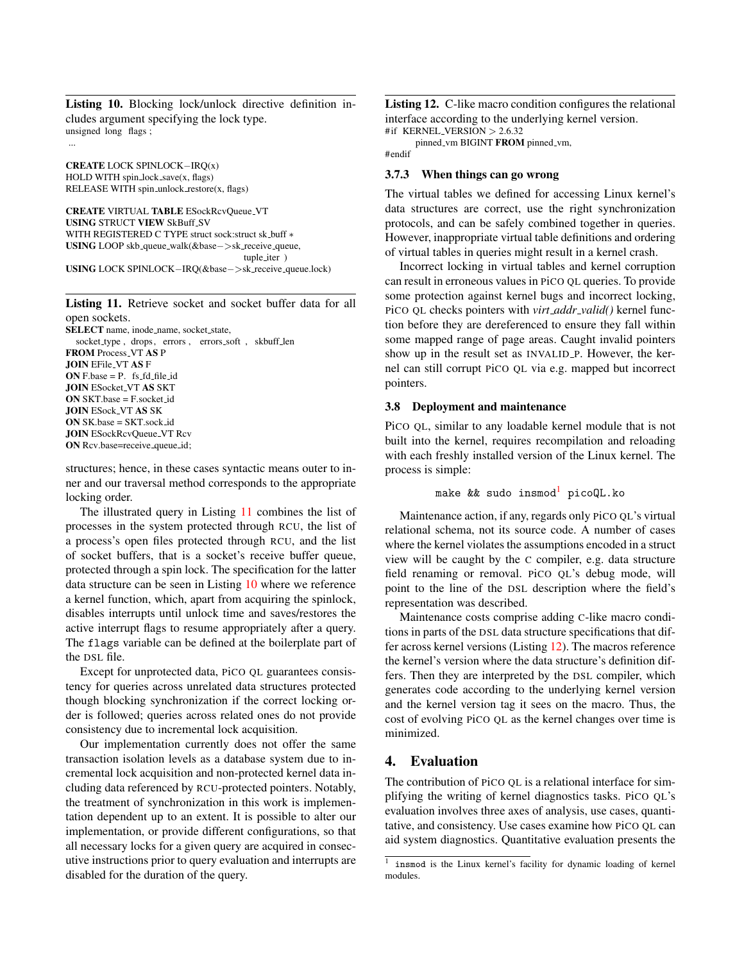<span id="page-7-1"></span>Listing 10. Blocking lock/unlock directive definition includes argument specifying the lock type. unsigned long flags ;

...

CREATE LOCK SPINLOCK−IRQ(x) HOLD WITH spin\_lock\_save(x, flags) RELEASE WITH spin\_unlock\_restore(x, flags)

CREATE VIRTUAL TABLE ESockRcvQueue VT USING STRUCT VIEW SkBuff SV WITH REGISTERED C TYPE struct sock:struct sk\_buff ∗ USING LOOP skb queue walk(&base−>sk receive queue, tuple iter ) USING LOCK SPINLOCK-IRQ(&base->sk\_receive\_queue.lock)

<span id="page-7-0"></span>Listing 11. Retrieve socket and socket buffer data for all open sockets.

SELECT name, inode\_name, socket\_state, socket type , drops, errors , errors soft , skbuff len FROM Process\_VT AS P JOIN EFile\_VT AS F ON F.base =  $P$ . fs\_fd\_file\_id JOIN ESocket VT AS SKT ON SKT.base = F.socket id JOIN ESock\_VT AS SK ON SK.base = SKT.sock id JOIN ESockRcvQueue VT Rcv ON Rcv.base=receive\_queue\_id;

structures; hence, in these cases syntactic means outer to inner and our traversal method corresponds to the appropriate locking order.

The illustrated query in Listing [11](#page-7-0) combines the list of processes in the system protected through RCU, the list of a process's open files protected through RCU, and the list of socket buffers, that is a socket's receive buffer queue, protected through a spin lock. The specification for the latter data structure can be seen in Listing [10](#page-7-1) where we reference a kernel function, which, apart from acquiring the spinlock, disables interrupts until unlock time and saves/restores the active interrupt flags to resume appropriately after a query. The flags variable can be defined at the boilerplate part of the DSL file.

Except for unprotected data, PiCO QL guarantees consistency for queries across unrelated data structures protected though blocking synchronization if the correct locking order is followed; queries across related ones do not provide consistency due to incremental lock acquisition.

Our implementation currently does not offer the same transaction isolation levels as a database system due to incremental lock acquisition and non-protected kernel data including data referenced by RCU-protected pointers. Notably, the treatment of synchronization in this work is implementation dependent up to an extent. It is possible to alter our implementation, or provide different configurations, so that all necessary locks for a given query are acquired in consecutive instructions prior to query evaluation and interrupts are disabled for the duration of the query.

<span id="page-7-3"></span>Listing 12. C-like macro condition configures the relational interface according to the underlying kernel version. #if KERNEL VERSION > 2.6.32

pinned\_vm BIGINT FROM pinned\_vm,

#endif

#### 3.7.3 When things can go wrong

The virtual tables we defined for accessing Linux kernel's data structures are correct, use the right synchronization protocols, and can be safely combined together in queries. However, inappropriate virtual table definitions and ordering of virtual tables in queries might result in a kernel crash.

Incorrect locking in virtual tables and kernel corruption can result in erroneous values in PiCO QL queries. To provide some protection against kernel bugs and incorrect locking, PiCO QL checks pointers with *virt addr valid()* kernel function before they are dereferenced to ensure they fall within some mapped range of page areas. Caught invalid pointers show up in the result set as INVALID<sub>-P</sub>. However, the kernel can still corrupt PiCO QL via e.g. mapped but incorrect pointers.

#### 3.8 Deployment and maintenance

PiCO QL, similar to any loadable kernel module that is not built into the kernel, requires recompilation and reloading with each freshly installed version of the Linux kernel. The process is simple:

```
1</sup> picoQL.ko
```
Maintenance action, if any, regards only PiCO QL's virtual relational schema, not its source code. A number of cases where the kernel violates the assumptions encoded in a struct view will be caught by the C compiler, e.g. data structure field renaming or removal. PiCO QL's debug mode, will point to the line of the DSL description where the field's representation was described.

Maintenance costs comprise adding C-like macro conditions in parts of the DSL data structure specifications that differ across kernel versions (Listing [12\)](#page-7-3). The macros reference the kernel's version where the data structure's definition differs. Then they are interpreted by the DSL compiler, which generates code according to the underlying kernel version and the kernel version tag it sees on the macro. Thus, the cost of evolving PiCO QL as the kernel changes over time is minimized.

# 4. Evaluation

The contribution of PiCO QL is a relational interface for simplifying the writing of kernel diagnostics tasks. PiCO QL's evaluation involves three axes of analysis, use cases, quantitative, and consistency. Use cases examine how PiCO QL can aid system diagnostics. Quantitative evaluation presents the

<span id="page-7-2"></span> $\frac{1}{1}$  insmod is the Linux kernel's facility for dynamic loading of kernel modules.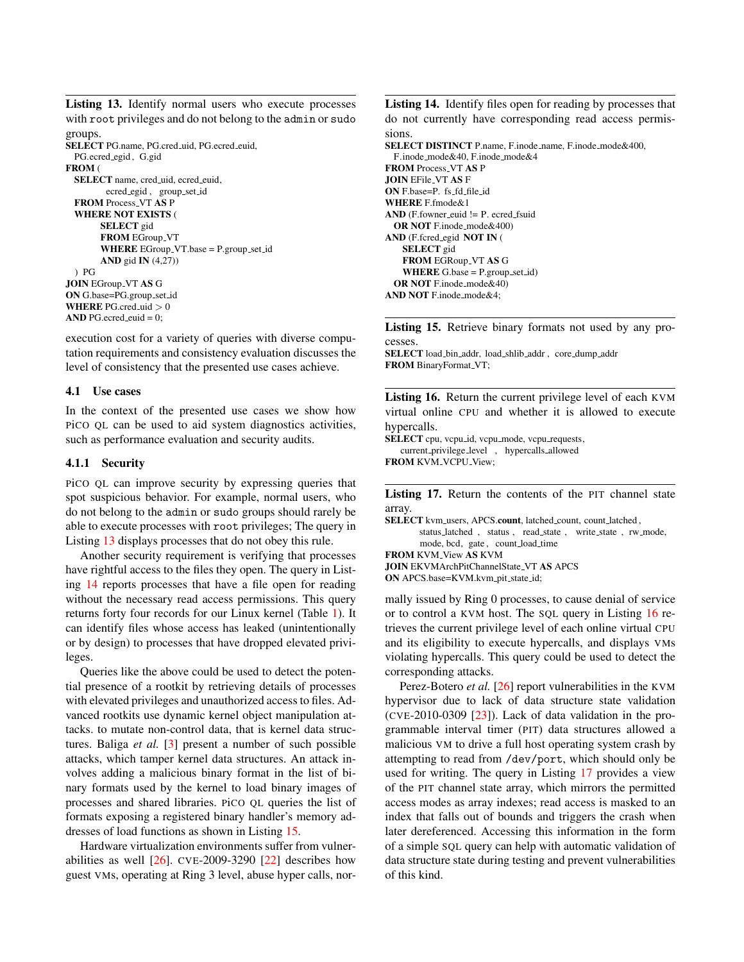<span id="page-8-0"></span>Listing 13. Identify normal users who execute processes with root privileges and do not belong to the admin or sudo groups.

SELECT PG.name, PG.cred\_uid, PG.ecred\_euid, PG.ecred egid , G.gid FROM ( SELECT name, cred\_uid, ecred\_euid, ecred egid , group set id FROM Process VT AS P WHERE NOT EXISTS ( SELECT gid FROM EGroup\_VT WHERE EGroup\_VT.base = P.group\_set\_id AND gid IN (4,27)) ) PG JOIN EGroup<sub>-VT</sub> AS G ON G.base=PG.group set id **WHERE PG.cred\_uid**  $> 0$ AND PG.ecred euid  $= 0$ :

execution cost for a variety of queries with diverse computation requirements and consistency evaluation discusses the level of consistency that the presented use cases achieve.

#### 4.1 Use cases

In the context of the presented use cases we show how PiCO QL can be used to aid system diagnostics activities, such as performance evaluation and security audits.

#### 4.1.1 Security

PiCO QL can improve security by expressing queries that spot suspicious behavior. For example, normal users, who do not belong to the admin or sudo groups should rarely be able to execute processes with root privileges; The query in Listing [13](#page-8-0) displays processes that do not obey this rule.

Another security requirement is verifying that processes have rightful access to the files they open. The query in Listing [14](#page-8-1) reports processes that have a file open for reading without the necessary read access permissions. This query returns forty four records for our Linux kernel (Table [1\)](#page-10-0). It can identify files whose access has leaked (unintentionally or by design) to processes that have dropped elevated privileges.

Queries like the above could be used to detect the potential presence of a rootkit by retrieving details of processes with elevated privileges and unauthorized access to files. Advanced rootkits use dynamic kernel object manipulation attacks. to mutate non-control data, that is kernel data structures. Baliga *et al.* [\[3\]](#page-12-8) present a number of such possible attacks, which tamper kernel data structures. An attack involves adding a malicious binary format in the list of binary formats used by the kernel to load binary images of processes and shared libraries. PiCO QL queries the list of formats exposing a registered binary handler's memory addresses of load functions as shown in Listing [15.](#page-8-2)

Hardware virtualization environments suffer from vulnerabilities as well  $[26]$ . CVE-2009-3290  $[22]$  describes how guest VMs, operating at Ring 3 level, abuse hyper calls, nor<span id="page-8-1"></span>Listing 14. Identify files open for reading by processes that do not currently have corresponding read access permissions. SELECT DISTINCT P. name, F. inode, name, F. inode, mode $&400$ F.inode mode&40, F.inode mode&4 FROM Process\_VT AS P JOIN EFile\_VT AS F ON F.base=P. fs\_fd\_file\_id WHERE F.fmode&1  $AND$  (F.fowner\_euid != P. ecred\_fsuid OR NOT F.inode\_mode&400) AND (F.fcred egid NOT IN ( SELECT gid FROM EGRoup VT AS G WHERE G.base  $=$  P.group\_set\_id) OR NOT F.inode\_mode&40) AND NOT F.inode\_mode&4;

<span id="page-8-2"></span>Listing 15. Retrieve binary formats not used by any processes. SELECT load bin addr, load shlib addr , core dump addr

FROM BinaryFormat\_VT;

<span id="page-8-3"></span>Listing 16. Return the current privilege level of each KVM virtual online CPU and whether it is allowed to execute hypercalls.

SELECT cpu, vcpu\_id, vcpu\_mode, vcpu\_requests, current privilege level , hypercalls allowed FROM KVM\_VCPU\_View;

<span id="page-8-4"></span>Listing 17. Return the contents of the PIT channel state array.

SELECT kvm\_users, APCS.count, latched\_count, count\_latched, status\_latched , status , read\_state , write\_state , rw\_mode, mode, bcd, gate, count\_load\_time FROM KVM\_View AS KVM JOIN EKVMArchPitChannelState\_VT AS APCS ON APCS.base=KVM.kvm\_pit\_state\_id;

mally issued by Ring 0 processes, to cause denial of service or to control a KVM host. The SQL query in Listing [16](#page-8-3) retrieves the current privilege level of each online virtual CPU and its eligibility to execute hypercalls, and displays VMs violating hypercalls. This query could be used to detect the corresponding attacks.

Perez-Botero *et al.* [\[26\]](#page-13-13) report vulnerabilities in the KVM hypervisor due to lack of data structure state validation (CVE-2010-0309  $[23]$ ). Lack of data validation in the programmable interval timer (PIT) data structures allowed a malicious VM to drive a full host operating system crash by attempting to read from /dev/port, which should only be used for writing. The query in Listing [17](#page-8-4) provides a view of the PIT channel state array, which mirrors the permitted access modes as array indexes; read access is masked to an index that falls out of bounds and triggers the crash when later dereferenced. Accessing this information in the form of a simple SQL query can help with automatic validation of data structure state during testing and prevent vulnerabilities of this kind.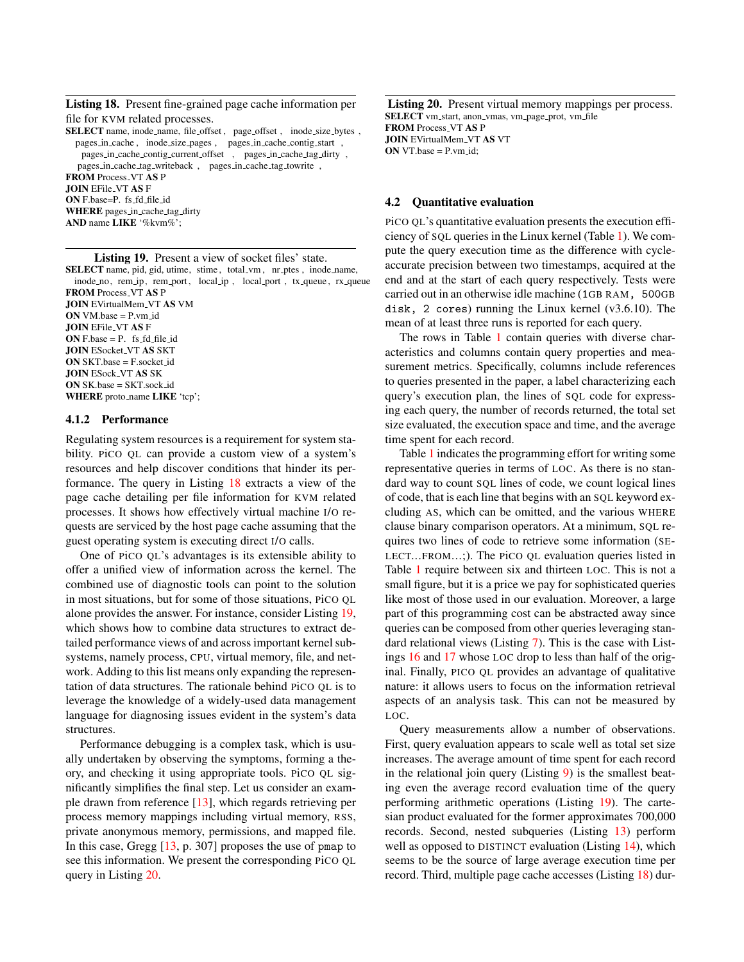<span id="page-9-1"></span>Listing 18. Present fine-grained page cache information per file for KVM related processes.

SELECT name, inode\_name, file\_offset, page\_offset, inode\_size\_bytes, pages in cache , inode size pages , pages in cache contig start , pages in cache contig current offset , pages in cache tag dirty , pages in cache tag writeback , pages in cache tag towrite , FROM Process\_VT AS P JOIN EFile\_VT AS F ON F.base=P. fs\_fd\_file\_id WHERE pages\_in\_cache\_tag\_dirty

AND name LIKE '%kvm%';

<span id="page-9-2"></span>Listing 19. Present a view of socket files' state. SELECT name, pid, gid, utime, stime, total\_vm, nr\_ptes, inode\_name, inode\_no, rem\_ip, rem\_port, local\_ip, local\_port, tx\_queue, rx\_queue FROM Process\_VT AS P JOIN EVirtualMem\_VT AS VM  $ONVM_{base} = P_{Vm_id}$ JOIN EFile\_VT AS F ON F.base =  $P$ . fs\_fd\_file\_id JOIN ESocket VT AS SKT ON SKT.base = F.socket id JOIN ESock VT AS SK ON SK.base = SKT.sock id WHERE proto\_name LIKE 'tcp';

## 4.1.2 Performance

Regulating system resources is a requirement for system stability. PiCO QL can provide a custom view of a system's resources and help discover conditions that hinder its performance. The query in Listing [18](#page-9-1) extracts a view of the page cache detailing per file information for KVM related processes. It shows how effectively virtual machine I/O requests are serviced by the host page cache assuming that the guest operating system is executing direct I/O calls.

One of PiCO QL's advantages is its extensible ability to offer a unified view of information across the kernel. The combined use of diagnostic tools can point to the solution in most situations, but for some of those situations, PiCO QL alone provides the answer. For instance, consider Listing [19,](#page-9-2) which shows how to combine data structures to extract detailed performance views of and across important kernel subsystems, namely process, CPU, virtual memory, file, and network. Adding to this list means only expanding the representation of data structures. The rationale behind PiCO QL is to leverage the knowledge of a widely-used data management language for diagnosing issues evident in the system's data structures.

Performance debugging is a complex task, which is usually undertaken by observing the symptoms, forming a theory, and checking it using appropriate tools. PiCO QL significantly simplifies the final step. Let us consider an example drawn from reference [\[13\]](#page-13-16), which regards retrieving per process memory mappings including virtual memory, RSS, private anonymous memory, permissions, and mapped file. In this case, Gregg  $[13, p. 307]$  $[13, p. 307]$  proposes the use of pmap to see this information. We present the corresponding PiCO QL query in Listing [20.](#page-9-3)

<span id="page-9-3"></span>Listing 20. Present virtual memory mappings per process. SELECT vm\_start, anon\_vmas, vm\_page\_prot, vm\_file FROM Process\_VT AS P JOIN EVirtualMem\_VT AS VT ON VT.base =  $P.vm_id$ ;

#### <span id="page-9-0"></span>4.2 Quantitative evaluation

PiCO QL's quantitative evaluation presents the execution efficiency of SQL queries in the Linux kernel (Table [1\)](#page-10-0). We compute the query execution time as the difference with cycleaccurate precision between two timestamps, acquired at the end and at the start of each query respectively. Tests were carried out in an otherwise idle machine (1GB RAM, 500GB disk, 2 cores) running the Linux kernel (v3.6.10). The mean of at least three runs is reported for each query.

The rows in Table [1](#page-10-0) contain queries with diverse characteristics and columns contain query properties and measurement metrics. Specifically, columns include references to queries presented in the paper, a label characterizing each query's execution plan, the lines of SQL code for expressing each query, the number of records returned, the total set size evaluated, the execution space and time, and the average time spent for each record.

Table [1](#page-10-0) indicates the programming effort for writing some representative queries in terms of LOC. As there is no standard way to count SQL lines of code, we count logical lines of code, that is each line that begins with an SQL keyword excluding AS, which can be omitted, and the various WHERE clause binary comparison operators. At a minimum, SQL requires two lines of code to retrieve some information (SE-LECT...FROM...;). The PiCO QL evaluation queries listed in Table [1](#page-10-0) require between six and thirteen LOC. This is not a small figure, but it is a price we pay for sophisticated queries like most of those used in our evaluation. Moreover, a large part of this programming cost can be abstracted away since queries can be composed from other queries leveraging standard relational views (Listing [7\)](#page-4-2). This is the case with Listings [16](#page-8-3) and [17](#page-8-4) whose LOC drop to less than half of the original. Finally, PICO QL provides an advantage of qualitative nature: it allows users to focus on the information retrieval aspects of an analysis task. This can not be measured by LOC.

Query measurements allow a number of observations. First, query evaluation appears to scale well as total set size increases. The average amount of time spent for each record in the relational join query (Listing [9\)](#page-4-4) is the smallest beating even the average record evaluation time of the query performing arithmetic operations (Listing [19\)](#page-9-2). The cartesian product evaluated for the former approximates 700,000 records. Second, nested subqueries (Listing [13\)](#page-8-0) perform well as opposed to DISTINCT evaluation (Listing [14\)](#page-8-1), which seems to be the source of large average execution time per record. Third, multiple page cache accesses (Listing [18\)](#page-9-1) dur-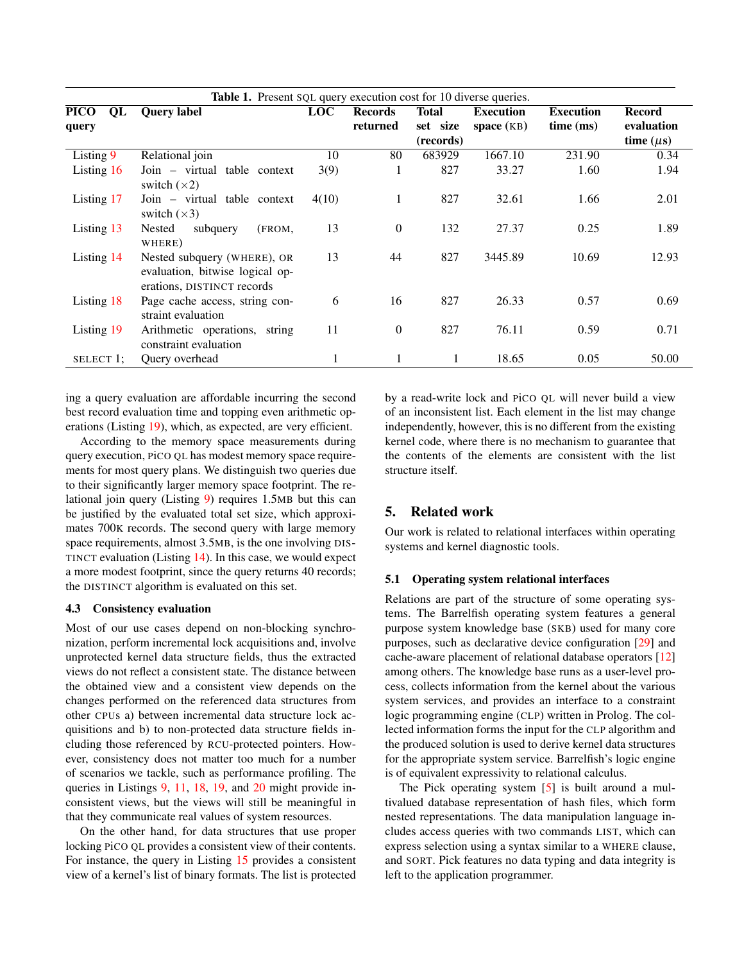<span id="page-10-0"></span>

| <b>Table 1.</b> Present SQL query execution cost for 10 diverse queries. |                                                                                              |            |                            |                          |                                  |                               |                             |  |  |
|--------------------------------------------------------------------------|----------------------------------------------------------------------------------------------|------------|----------------------------|--------------------------|----------------------------------|-------------------------------|-----------------------------|--|--|
| <b>PICO</b><br>QL<br>query                                               | <b>Query</b> label                                                                           | <b>LOC</b> | <b>Records</b><br>returned | <b>Total</b><br>set size | <b>Execution</b><br>space $(KB)$ | <b>Execution</b><br>time (ms) | <b>Record</b><br>evaluation |  |  |
|                                                                          |                                                                                              |            |                            | (records)                |                                  |                               | time $(\mu s)$              |  |  |
| Listing 9                                                                | Relational join                                                                              | 10         | 80                         | 683929                   | 1667.10                          | 231.90                        | 0.34                        |  |  |
| Listing 16                                                               | Join – virtual table context<br>switch $(\times 2)$                                          | 3(9)       | $\mathbf{I}$               | 827                      | 33.27                            | 1.60                          | 1.94                        |  |  |
| Listing 17                                                               | Join – virtual table context<br>switch $(\times 3)$                                          | 4(10)      | 1                          | 827                      | 32.61                            | 1.66                          | 2.01                        |  |  |
| Listing 13                                                               | subquery<br>Nested<br>(FROM,<br>WHERE)                                                       | 13         | $\overline{0}$             | 132                      | 27.37                            | 0.25                          | 1.89                        |  |  |
| Listing 14                                                               | Nested subquery (WHERE), OR<br>evaluation, bitwise logical op-<br>erations, DISTINCT records | 13         | 44                         | 827                      | 3445.89                          | 10.69                         | 12.93                       |  |  |
| Listing 18                                                               | Page cache access, string con-<br>straint evaluation                                         | 6          | 16                         | 827                      | 26.33                            | 0.57                          | 0.69                        |  |  |
| Listing 19                                                               | Arithmetic operations, string<br>constraint evaluation                                       | 11         | $\overline{0}$             | 827                      | 76.11                            | 0.59                          | 0.71                        |  |  |
| SELECT 1:                                                                | Query overhead                                                                               | 1          | 1                          | 1                        | 18.65                            | 0.05                          | 50.00                       |  |  |

ing a query evaluation are affordable incurring the second best record evaluation time and topping even arithmetic operations (Listing [19\)](#page-9-2), which, as expected, are very efficient.

According to the memory space measurements during query execution, PiCO QL has modest memory space requirements for most query plans. We distinguish two queries due to their significantly larger memory space footprint. The relational join query (Listing [9\)](#page-4-4) requires 1.5MB but this can be justified by the evaluated total set size, which approximates 700K records. The second query with large memory space requirements, almost 3.5MB, is the one involving DIS-TINCT evaluation (Listing [14\)](#page-8-1). In this case, we would expect a more modest footprint, since the query returns 40 records; the DISTINCT algorithm is evaluated on this set.

#### 4.3 Consistency evaluation

Most of our use cases depend on non-blocking synchronization, perform incremental lock acquisitions and, involve unprotected kernel data structure fields, thus the extracted views do not reflect a consistent state. The distance between the obtained view and a consistent view depends on the changes performed on the referenced data structures from other CPUs a) between incremental data structure lock acquisitions and b) to non-protected data structure fields including those referenced by RCU-protected pointers. However, consistency does not matter too much for a number of scenarios we tackle, such as performance profiling. The queries in Listings [9,](#page-4-4) [11,](#page-7-0) [18,](#page-9-1) [19,](#page-9-2) and [20](#page-9-3) might provide inconsistent views, but the views will still be meaningful in that they communicate real values of system resources.

On the other hand, for data structures that use proper locking PiCO QL provides a consistent view of their contents. For instance, the query in Listing [15](#page-8-2) provides a consistent view of a kernel's list of binary formats. The list is protected by a read-write lock and PiCO QL will never build a view of an inconsistent list. Each element in the list may change independently, however, this is no different from the existing kernel code, where there is no mechanism to guarantee that the contents of the elements are consistent with the list structure itself.

## 5. Related work

Our work is related to relational interfaces within operating systems and kernel diagnostic tools.

#### 5.1 Operating system relational interfaces

Relations are part of the structure of some operating systems. The Barrelfish operating system features a general purpose system knowledge base (SKB) used for many core purposes, such as declarative device configuration [\[29\]](#page-13-4) and cache-aware placement of relational database operators [\[12\]](#page-12-9) among others. The knowledge base runs as a user-level process, collects information from the kernel about the various system services, and provides an interface to a constraint logic programming engine (CLP) written in Prolog. The collected information forms the input for the CLP algorithm and the produced solution is used to derive kernel data structures for the appropriate system service. Barrelfish's logic engine is of equivalent expressivity to relational calculus.

The Pick operating system [\[5\]](#page-12-10) is built around a multivalued database representation of hash files, which form nested representations. The data manipulation language includes access queries with two commands LIST, which can express selection using a syntax similar to a WHERE clause, and SORT. Pick features no data typing and data integrity is left to the application programmer.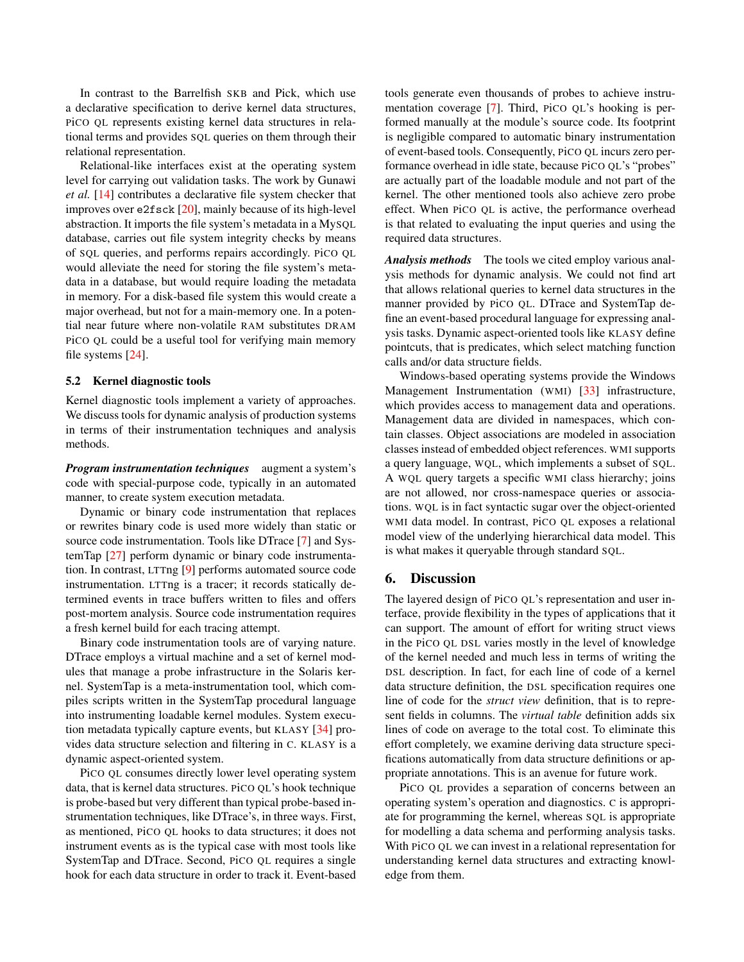In contrast to the Barrelfish SKB and Pick, which use a declarative specification to derive kernel data structures, PiCO QL represents existing kernel data structures in relational terms and provides SQL queries on them through their relational representation.

Relational-like interfaces exist at the operating system level for carrying out validation tasks. The work by Gunawi *et al.* [\[14\]](#page-13-3) contributes a declarative file system checker that improves over e2fsck [\[20\]](#page-13-17), mainly because of its high-level abstraction. It imports the file system's metadata in a MySQL database, carries out file system integrity checks by means of SQL queries, and performs repairs accordingly. PiCO QL would alleviate the need for storing the file system's metadata in a database, but would require loading the metadata in memory. For a disk-based file system this would create a major overhead, but not for a main-memory one. In a potential near future where non-volatile RAM substitutes DRAM PiCO QL could be a useful tool for verifying main memory file systems [\[24\]](#page-13-18).

#### 5.2 Kernel diagnostic tools

Kernel diagnostic tools implement a variety of approaches. We discuss tools for dynamic analysis of production systems in terms of their instrumentation techniques and analysis methods.

*Program instrumentation techniques* augment a system's code with special-purpose code, typically in an automated manner, to create system execution metadata.

Dynamic or binary code instrumentation that replaces or rewrites binary code is used more widely than static or source code instrumentation. Tools like DTrace [\[7\]](#page-12-0) and SystemTap [\[27\]](#page-13-0) perform dynamic or binary code instrumentation. In contrast, LTTng [\[9\]](#page-12-11) performs automated source code instrumentation. LTTng is a tracer; it records statically determined events in trace buffers written to files and offers post-mortem analysis. Source code instrumentation requires a fresh kernel build for each tracing attempt.

Binary code instrumentation tools are of varying nature. DTrace employs a virtual machine and a set of kernel modules that manage a probe infrastructure in the Solaris kernel. SystemTap is a meta-instrumentation tool, which compiles scripts written in the SystemTap procedural language into instrumenting loadable kernel modules. System execution metadata typically capture events, but KLASY [\[34\]](#page-13-19) provides data structure selection and filtering in C. KLASY is a dynamic aspect-oriented system.

PiCO QL consumes directly lower level operating system data, that is kernel data structures. PiCO QL's hook technique is probe-based but very different than typical probe-based instrumentation techniques, like DTrace's, in three ways. First, as mentioned, PiCO QL hooks to data structures; it does not instrument events as is the typical case with most tools like SystemTap and DTrace. Second, PiCO QL requires a single hook for each data structure in order to track it. Event-based

tools generate even thousands of probes to achieve instrumentation coverage [\[7\]](#page-12-0). Third, PiCO QL's hooking is performed manually at the module's source code. Its footprint is negligible compared to automatic binary instrumentation of event-based tools. Consequently, PiCO QL incurs zero performance overhead in idle state, because PiCO QL's "probes" are actually part of the loadable module and not part of the kernel. The other mentioned tools also achieve zero probe effect. When PiCO QL is active, the performance overhead is that related to evaluating the input queries and using the required data structures.

*Analysis methods* The tools we cited employ various analysis methods for dynamic analysis. We could not find art that allows relational queries to kernel data structures in the manner provided by PiCO QL. DTrace and SystemTap define an event-based procedural language for expressing analysis tasks. Dynamic aspect-oriented tools like KLASY define pointcuts, that is predicates, which select matching function calls and/or data structure fields.

Windows-based operating systems provide the Windows Management Instrumentation (WMI) [\[33\]](#page-13-5) infrastructure, which provides access to management data and operations. Management data are divided in namespaces, which contain classes. Object associations are modeled in association classes instead of embedded object references. WMI supports a query language, WQL, which implements a subset of SQL. A WQL query targets a specific WMI class hierarchy; joins are not allowed, nor cross-namespace queries or associations. WQL is in fact syntactic sugar over the object-oriented WMI data model. In contrast, PiCO QL exposes a relational model view of the underlying hierarchical data model. This is what makes it queryable through standard SQL.

## 6. Discussion

The layered design of PiCO QL's representation and user interface, provide flexibility in the types of applications that it can support. The amount of effort for writing struct views in the PiCO QL DSL varies mostly in the level of knowledge of the kernel needed and much less in terms of writing the DSL description. In fact, for each line of code of a kernel data structure definition, the DSL specification requires one line of code for the *struct view* definition, that is to represent fields in columns. The *virtual table* definition adds six lines of code on average to the total cost. To eliminate this effort completely, we examine deriving data structure specifications automatically from data structure definitions or appropriate annotations. This is an avenue for future work.

PiCO QL provides a separation of concerns between an operating system's operation and diagnostics. C is appropriate for programming the kernel, whereas SQL is appropriate for modelling a data schema and performing analysis tasks. With PiCO QL we can invest in a relational representation for understanding kernel data structures and extracting knowledge from them.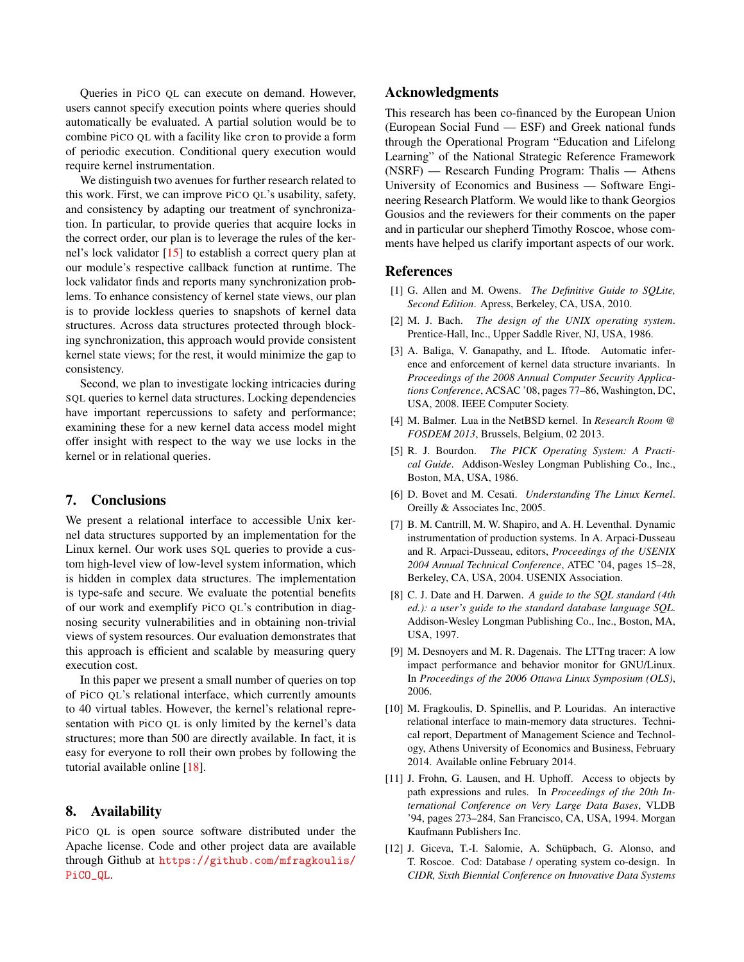Queries in PiCO QL can execute on demand. However, users cannot specify execution points where queries should automatically be evaluated. A partial solution would be to combine PiCO QL with a facility like cron to provide a form of periodic execution. Conditional query execution would require kernel instrumentation.

We distinguish two avenues for further research related to this work. First, we can improve PiCO QL's usability, safety, and consistency by adapting our treatment of synchronization. In particular, to provide queries that acquire locks in the correct order, our plan is to leverage the rules of the kernel's lock validator [\[15\]](#page-13-20) to establish a correct query plan at our module's respective callback function at runtime. The lock validator finds and reports many synchronization problems. To enhance consistency of kernel state views, our plan is to provide lockless queries to snapshots of kernel data structures. Across data structures protected through blocking synchronization, this approach would provide consistent kernel state views; for the rest, it would minimize the gap to consistency.

Second, we plan to investigate locking intricacies during SQL queries to kernel data structures. Locking dependencies have important repercussions to safety and performance; examining these for a new kernel data access model might offer insight with respect to the way we use locks in the kernel or in relational queries.

## 7. Conclusions

We present a relational interface to accessible Unix kernel data structures supported by an implementation for the Linux kernel. Our work uses SQL queries to provide a custom high-level view of low-level system information, which is hidden in complex data structures. The implementation is type-safe and secure. We evaluate the potential benefits of our work and exemplify PiCO QL's contribution in diagnosing security vulnerabilities and in obtaining non-trivial views of system resources. Our evaluation demonstrates that this approach is efficient and scalable by measuring query execution cost.

In this paper we present a small number of queries on top of PiCO QL's relational interface, which currently amounts to 40 virtual tables. However, the kernel's relational representation with PiCO QL is only limited by the kernel's data structures; more than 500 are directly available. In fact, it is easy for everyone to roll their own probes by following the tutorial available online [\[18\]](#page-13-21).

## 8. Availability

PiCO QL is open source software distributed under the Apache license. Code and other project data are available through Github at [https://github.com/mfragkoulis/](https://github.com/mfragkoulis/PiCO_QL) [PiCO\\_QL](https://github.com/mfragkoulis/PiCO_QL).

# Acknowledgments

This research has been co-financed by the European Union (European Social Fund — ESF) and Greek national funds through the Operational Program "Education and Lifelong Learning" of the National Strategic Reference Framework (NSRF) — Research Funding Program: Thalis — Athens University of Economics and Business — Software Engineering Research Platform. We would like to thank Georgios Gousios and the reviewers for their comments on the paper and in particular our shepherd Timothy Roscoe, whose comments have helped us clarify important aspects of our work.

#### References

- <span id="page-12-7"></span>[1] G. Allen and M. Owens. *The Definitive Guide to SQLite, Second Edition*. Apress, Berkeley, CA, USA, 2010.
- <span id="page-12-3"></span>[2] M. J. Bach. *The design of the UNIX operating system*. Prentice-Hall, Inc., Upper Saddle River, NJ, USA, 1986.
- <span id="page-12-8"></span>[3] A. Baliga, V. Ganapathy, and L. Iftode. Automatic inference and enforcement of kernel data structure invariants. In *Proceedings of the 2008 Annual Computer Security Applications Conference*, ACSAC '08, pages 77–86, Washington, DC, USA, 2008. IEEE Computer Society.
- <span id="page-12-1"></span>[4] M. Balmer. Lua in the NetBSD kernel. In *Research Room @ FOSDEM 2013*, Brussels, Belgium, 02 2013.
- <span id="page-12-10"></span>[5] R. J. Bourdon. *The PICK Operating System: A Practical Guide*. Addison-Wesley Longman Publishing Co., Inc., Boston, MA, USA, 1986.
- <span id="page-12-4"></span>[6] D. Bovet and M. Cesati. *Understanding The Linux Kernel*. Oreilly & Associates Inc, 2005.
- <span id="page-12-0"></span>[7] B. M. Cantrill, M. W. Shapiro, and A. H. Leventhal. Dynamic instrumentation of production systems. In A. Arpaci-Dusseau and R. Arpaci-Dusseau, editors, *Proceedings of the USENIX 2004 Annual Technical Conference*, ATEC '04, pages 15–28, Berkeley, CA, USA, 2004. USENIX Association.
- <span id="page-12-2"></span>[8] C. J. Date and H. Darwen. *A guide to the SQL standard (4th ed.): a user's guide to the standard database language SQL*. Addison-Wesley Longman Publishing Co., Inc., Boston, MA, USA, 1997.
- <span id="page-12-11"></span>[9] M. Desnoyers and M. R. Dagenais. The LTTng tracer: A low impact performance and behavior monitor for GNU/Linux. In *Proceedings of the 2006 Ottawa Linux Symposium (OLS)*, 2006.
- <span id="page-12-5"></span>[10] M. Fragkoulis, D. Spinellis, and P. Louridas. An interactive relational interface to main-memory data structures. Technical report, Department of Management Science and Technology, Athens University of Economics and Business, February 2014. Available online February 2014.
- <span id="page-12-6"></span>[11] J. Frohn, G. Lausen, and H. Uphoff. Access to objects by path expressions and rules. In *Proceedings of the 20th International Conference on Very Large Data Bases*, VLDB '94, pages 273–284, San Francisco, CA, USA, 1994. Morgan Kaufmann Publishers Inc.
- <span id="page-12-9"></span>[12] J. Giceva, T.-I. Salomie, A. Schüpbach, G. Alonso, and T. Roscoe. Cod: Database / operating system co-design. In *CIDR, Sixth Biennial Conference on Innovative Data Systems*